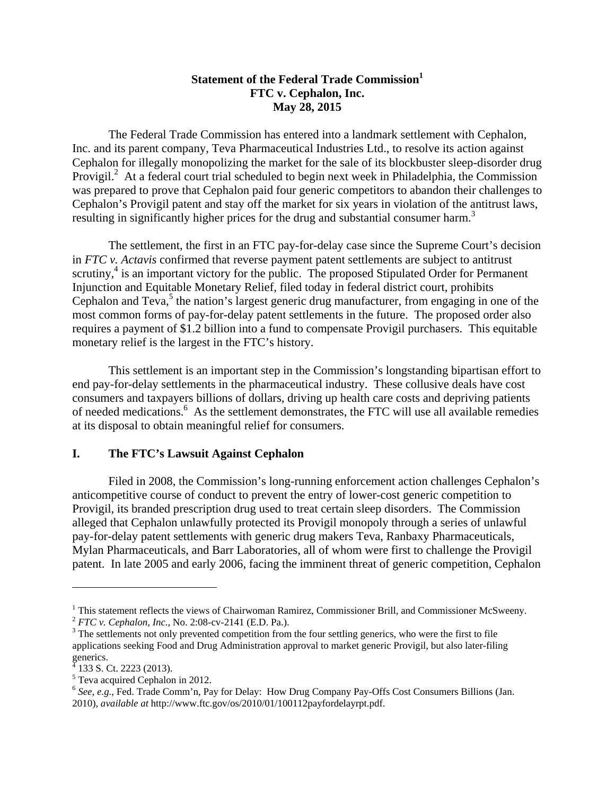## **Statement of the Federal Trade Commission FTC v. Cephalon, Inc. May 28, 2015**

The Federal Trade Commission has entered into a landmark settlement with Cephalon, Inc. and its parent company, Teva Pharmaceutical Industries Ltd., to resolve its action against Cephalon for illegally monopolizing the market for the sale of its blockbuster sleep-disorder drug Provigil.<sup>2</sup> At a federal court trial scheduled to begin next week in Philadelphia, the Commission was prepared to prove that Cephalon paid four generic competitors to abandon their challenges to Cephalon's Provigil patent and stay off the market for six years in violation of the antitrust laws, resulting in significantly higher prices for the drug and substantial consumer harm.<sup>3</sup>

The settlement, the first in an FTC pay-for-delay case since the Supreme Court's decision in *FTC v. Actavis* confirmed that reverse payment patent settlements are subject to antitrust scrutiny,<sup>4</sup> is an important victory for the public. The proposed Stipulated Order for Permanent Injunction and Equitable Monetary Relief, filed today in federal district court, prohibits Cephalon and Teva,<sup>5</sup> the nation's largest generic drug manufacturer, from engaging in one of the most common forms of pay-for-delay patent settlements in the future. The proposed order also requires a payment of \$1.2 billion into a fund to compensate Provigil purchasers. This equitable monetary relief is the largest in the FTC's history.

This settlement is an important step in the Commission's longstanding bipartisan effort to end pay-for-delay settlements in the pharmaceutical industry. These collusive deals have cost consumers and taxpayers billions of dollars, driving up health care costs and depriving patients of needed medications.<sup>6</sup> As the settlement demonstrates, the FTC will use all available remedies at its disposal to obtain meaningful relief for consumers.

## **I. The FTC's Lawsuit Against Cephalon**

Filed in 2008, the Commission's long-running enforcement action challenges Cephalon's anticompetitive course of conduct to prevent the entry of lower-cost generic competition to Provigil, its branded prescription drug used to treat certain sleep disorders. The Commission alleged that Cephalon unlawfully protected its Provigil monopoly through a series of unlawful pay-for-delay patent settlements with generic drug makers Teva, Ranbaxy Pharmaceuticals, Mylan Pharmaceuticals, and Barr Laboratories, all of whom were first to challenge the Provigil patent. In late 2005 and early 2006, facing the imminent threat of generic competition, Cephalon

<sup>&</sup>lt;sup>1</sup> This statement reflects the views of Chairwoman Ramirez, Commissioner Brill, and Commissioner McSweeny.<br><sup>2</sup> *FTC v. Cephalon, Inc.*, No. 2:08-cv-2141 (E.D. Pa.).  $\frac{3}{10}$  The settling generics, who were the first to

 $3$  The settlements not only prevented competition from the four settling generics, who were the first to file applications seeking Food and Drug Administration approval to market generic Provigil, but also later-filing generics.<br> $4122S$ 

 <sup>133</sup> S. Ct. 2223 (2013).

<sup>&</sup>lt;sup>5</sup> Teva acquired Cephalon in 2012.

<sup>6</sup> *See, e.g.*, Fed. Trade Comm'n, Pay for Delay: How Drug Company Pay-Offs Cost Consumers Billions (Jan. 2010), *available at* http://www.ftc.gov/os/2010/01/100112payfordelayrpt.pdf.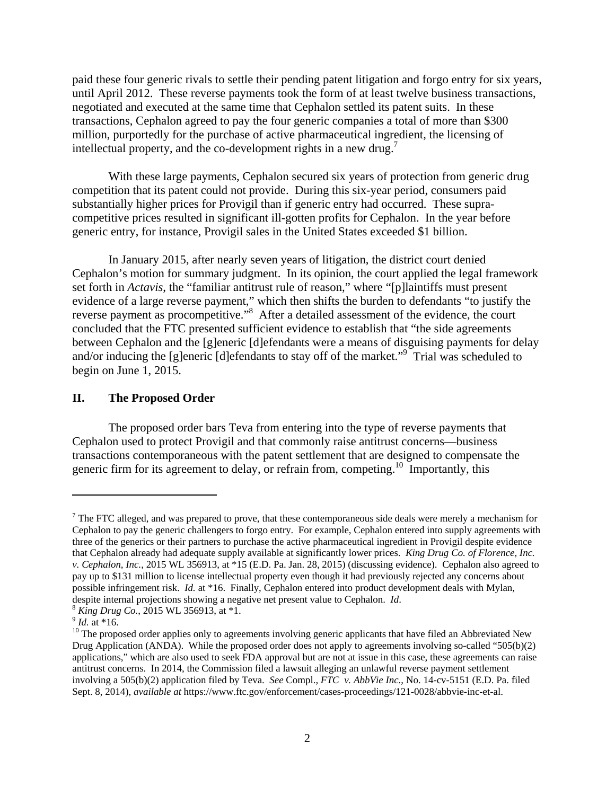paid these four generic rivals to settle their pending patent litigation and forgo entry for six years, until April 2012. These reverse payments took the form of at least twelve business transactions, negotiated and executed at the same time that Cephalon settled its patent suits. In these transactions, Cephalon agreed to pay the four generic companies a total of more than \$300 million, purportedly for the purchase of active pharmaceutical ingredient, the licensing of intellectual property, and the co-development rights in a new drug.<sup>7</sup>

With these large payments, Cephalon secured six years of protection from generic drug competition that its patent could not provide. During this six-year period, consumers paid substantially higher prices for Provigil than if generic entry had occurred. These supracompetitive prices resulted in significant ill-gotten profits for Cephalon. In the year before generic entry, for instance, Provigil sales in the United States exceeded \$1 billion.

In January 2015, after nearly seven years of litigation, the district court denied Cephalon's motion for summary judgment. In its opinion, the court applied the legal framework set forth in *Actavis*, the "familiar antitrust rule of reason," where "[p]laintiffs must present evidence of a large reverse payment," which then shifts the burden to defendants "to justify the reverse payment as procompetitive."<sup>8</sup> After a detailed assessment of the evidence, the court concluded that the FTC presented sufficient evidence to establish that "the side agreements between Cephalon and the [g]eneric [d]efendants were a means of disguising payments for delay and/or inducing the [g]eneric [d]efendants to stay off of the market."<sup>9</sup> Trial was scheduled to begin on June 1, 2015.

## **II. The Proposed Order**

The proposed order bars Teva from entering into the type of reverse payments that Cephalon used to protect Provigil and that commonly raise antitrust concerns—business transactions contemporaneous with the patent settlement that are designed to compensate the generic firm for its agreement to delay, or refrain from, competing.<sup>10</sup> Importantly, this

 $<sup>7</sup>$  The FTC alleged, and was prepared to prove, that these contemporaneous side deals were merely a mechanism for</sup> Cephalon to pay the generic challengers to forgo entry. For example, Cephalon entered into supply agreements with three of the generics or their partners to purchase the active pharmaceutical ingredient in Provigil despite evidence that Cephalon already had adequate supply available at significantly lower prices. *King Drug Co. of Florence, Inc. v. Cephalon, Inc.*, 2015 WL 356913, at \*15 (E.D. Pa. Jan. 28, 2015) (discussing evidence). Cephalon also agreed to pay up to \$131 million to license intellectual property even though it had previously rejected any concerns about possible infringement risk. *Id.* at \*16. Finally, Cephalon entered into product development deals with Mylan, despite internal projections showing a negative net present value to Cephalon. *Id.*<br><sup>8</sup> *King Drug Co.*, 2015 WL 356913, at \*1.<br><sup>9</sup> *Id.* at \*16.<br><sup>10</sup> The proposed order applies only to agreements involving generic appli

Drug Application (ANDA). While the proposed order does not apply to agreements involving so-called "505(b)(2) applications," which are also used to seek FDA approval but are not at issue in this case, these agreements can raise antitrust concerns. In 2014, the Commission filed a lawsuit alleging an unlawful reverse payment settlement involving a 505(b)(2) application filed by Teva. *See* Compl., *FTC v. AbbVie Inc.*, No. 14-cv-5151 (E.D. Pa. filed Sept. 8, 2014), *available at* https://www.ftc.gov/enforcement/cases-proceedings/121-0028/abbvie-inc-et-al.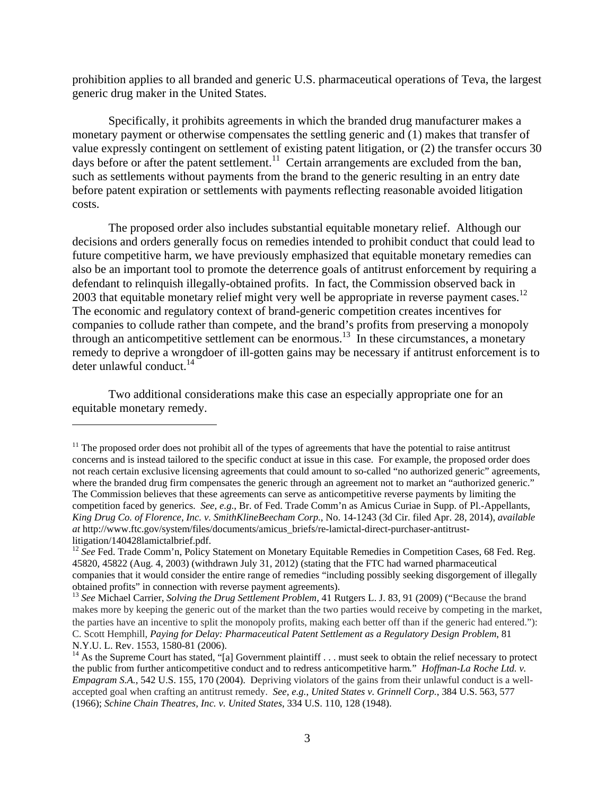prohibition applies to all branded and generic U.S. pharmaceutical operations of Teva, the largest generic drug maker in the United States.

Specifically, it prohibits agreements in which the branded drug manufacturer makes a monetary payment or otherwise compensates the settling generic and (1) makes that transfer of value expressly contingent on settlement of existing patent litigation, or (2) the transfer occurs 30 days before or after the patent settlement.<sup>11</sup> Certain arrangements are excluded from the ban, such as settlements without payments from the brand to the generic resulting in an entry date before patent expiration or settlements with payments reflecting reasonable avoided litigation costs.

The proposed order also includes substantial equitable monetary relief. Although our decisions and orders generally focus on remedies intended to prohibit conduct that could lead to future competitive harm, we have previously emphasized that equitable monetary remedies can also be an important tool to promote the deterrence goals of antitrust enforcement by requiring a defendant to relinquish illegally-obtained profits. In fact, the Commission observed back in 2003 that equitable monetary relief might very well be appropriate in reverse payment cases.<sup>12</sup> The economic and regulatory context of brand-generic competition creates incentives for companies to collude rather than compete, and the brand's profits from preserving a monopoly through an anticompetitive settlement can be enormous.<sup>13</sup> In these circumstances, a monetary remedy to deprive a wrongdoer of ill-gotten gains may be necessary if antitrust enforcement is to deter unlawful conduct. $14$ 

Two additional considerations make this case an especially appropriate one for an equitable monetary remedy.

 $11$  The proposed order does not prohibit all of the types of agreements that have the potential to raise antitrust concerns and is instead tailored to the specific conduct at issue in this case. For example, the proposed order does not reach certain exclusive licensing agreements that could amount to so-called "no authorized generic" agreements, where the branded drug firm compensates the generic through an agreement not to market an "authorized generic." The Commission believes that these agreements can serve as anticompetitive reverse payments by limiting the competition faced by generics. *See, e.g.*, Br. of Fed. Trade Comm'n as Amicus Curiae in Supp. of Pl.-Appellants, *King Drug Co. of Florence, Inc. v. SmithKlineBeecham Corp.*, No. 14-1243 (3d Cir. filed Apr. 28, 2014), *available at* http://www.ftc.gov/system/files/documents/amicus\_briefs/re-lamictal-direct-purchaser-antitrustlitigation/140428lamictalbrief.pdf.

<sup>&</sup>lt;sup>12</sup> See Fed. Trade Comm'n, Policy Statement on Monetary Equitable Remedies in Competition Cases, 68 Fed. Reg. 45820, 45822 (Aug. 4, 2003) (withdrawn July 31, 2012) (stating that the FTC had warned pharmaceutical companies that it would consider the entire range of remedies "including possibly seeking disgorgement of illegally obtained profits" in connection with reverse payment agreements).

<sup>13</sup> *See* Michael Carrier, *Solving the Drug Settlement Problem*, 41 Rutgers L. J. 83, 91 (2009) ("Because the brand makes more by keeping the generic out of the market than the two parties would receive by competing in the market, the parties have an incentive to split the monopoly profits, making each better off than if the generic had entered."): C. Scott Hemphill, *Paying for Delay: Pharmaceutical Patent Settlement as a Regulatory Design Problem*, 81 N.Y.U. L. Rev. 1553, 1580-81 (2006).

<sup>&</sup>lt;sup>14</sup> As the Supreme Court has stated, "[a] Government plaintiff  $\ldots$  must seek to obtain the relief necessary to protect the public from further anticompetitive conduct and to redress anticompetitive harm*.*" *Hoffman-La Roche Ltd. v. Empagram S.A.*, 542 U.S. 155, 170 (2004). Depriving violators of the gains from their unlawful conduct is a wellaccepted goal when crafting an antitrust remedy. *See, e.g.*, *United States v. Grinnell Corp.*, 384 U.S. 563, 577 (1966); *Schine Chain Theatres, Inc. v. United States*, 334 U.S. 110, 128 (1948).